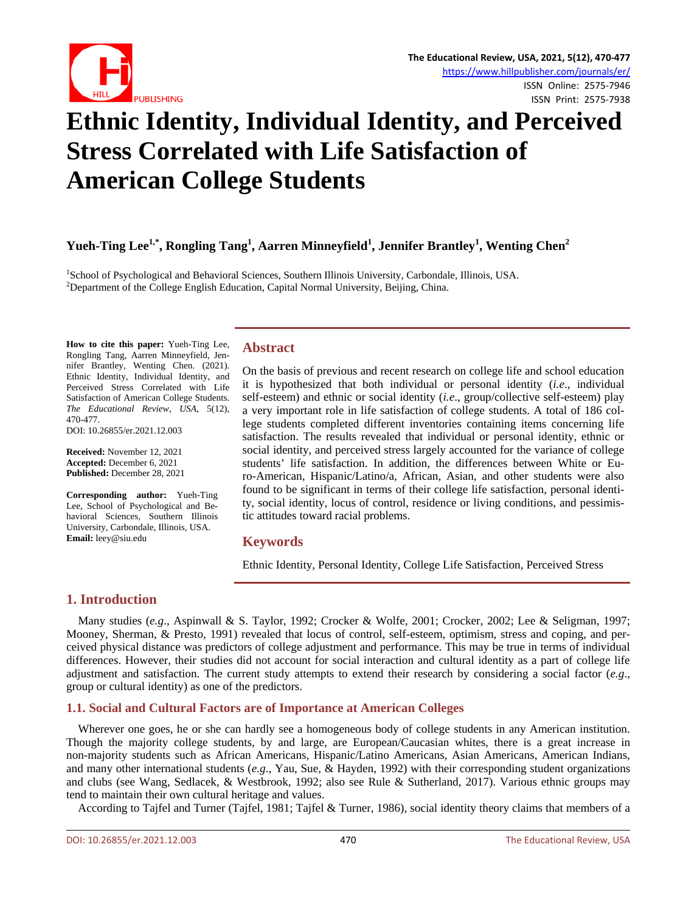

# **Ethnic Identity, Individual Identity, and Perceived Stress Correlated with Life Satisfaction of American College Students**

**Yueh-Ting Lee1,\*, Rongling Tang1 , Aarren Minneyfield<sup>1</sup> , Jennifer Brantley<sup>1</sup> , Wenting Chen<sup>2</sup>**

<sup>1</sup>School of Psychological and Behavioral Sciences, Southern Illinois University, Carbondale, Illinois, USA.<br><sup>2</sup>Department of the Collage English Education, Capital Normal University, Baijing, China. <sup>2</sup>Department of the College English Education, Capital Normal University, Beijing, China.

**How to cite this paper:** Yueh-Ting Lee, Rongling Tang, Aarren Minneyfield, Jennifer Brantley, Wenting Chen. (2021). Ethnic Identity, Individual Identity, and Perceived Stress Correlated with Life Satisfaction of American College Students. *The Educational Review, USA*, 5(12), 470-477. DOI: 10.26855/er.2021.12.003

**Received:** November 12, 2021 **Accepted:** December 6, 2021 **Published:** December 28, 2021

**Corresponding author:** Yueh-Ting Lee, School of Psychological and Behavioral Sciences, Southern Illinois University, Carbondale, Illinois, USA. **Email:** leey@siu.edu

# **Abstract**

On the basis of previous and recent research on college life and school education it is hypothesized that both individual or personal identity (*i.e*., individual self-esteem) and ethnic or social identity (*i.e*., group/collective self-esteem) play a very important role in life satisfaction of college students. A total of 186 college students completed different inventories containing items concerning life satisfaction. The results revealed that individual or personal identity, ethnic or social identity, and perceived stress largely accounted for the variance of college students' life satisfaction. In addition, the differences between White or Euro-American, Hispanic/Latino/a, African, Asian, and other students were also found to be significant in terms of their college life satisfaction, personal identity, social identity, locus of control, residence or living conditions, and pessimistic attitudes toward racial problems.

# **Keywords**

Ethnic Identity, Personal Identity, College Life Satisfaction, Perceived Stress

# **1. Introduction**

Many studies (*e.g*., Aspinwall & S. Taylor, 1992; Crocker & Wolfe, 2001; Crocker, 2002; Lee & Seligman, 1997; Mooney, Sherman, & Presto, 1991) revealed that locus of control, self-esteem, optimism, stress and coping, and perceived physical distance was predictors of college adjustment and performance. This may be true in terms of individual differences. However, their studies did not account for social interaction and cultural identity as a part of college life adjustment and satisfaction. The current study attempts to extend their research by considering a social factor (*e.g*., group or cultural identity) as one of the predictors.

# **1.1. Social and Cultural Factors are of Importance at American Colleges**

Wherever one goes, he or she can hardly see a homogeneous body of college students in any American institution. Though the majority college students, by and large, are European/Caucasian whites, there is a great increase in non-majority students such as African Americans, Hispanic/Latino Americans, Asian Americans, American Indians, and many other international students (*e.g*., Yau, Sue, & Hayden, 1992) with their corresponding student organizations and clubs (see Wang, Sedlacek, & Westbrook, 1992; also see Rule & Sutherland, 2017). Various ethnic groups may tend to maintain their own cultural heritage and values.

According to Tajfel and Turner (Tajfel, 1981; Tajfel & Turner, 1986), social identity theory claims that members of a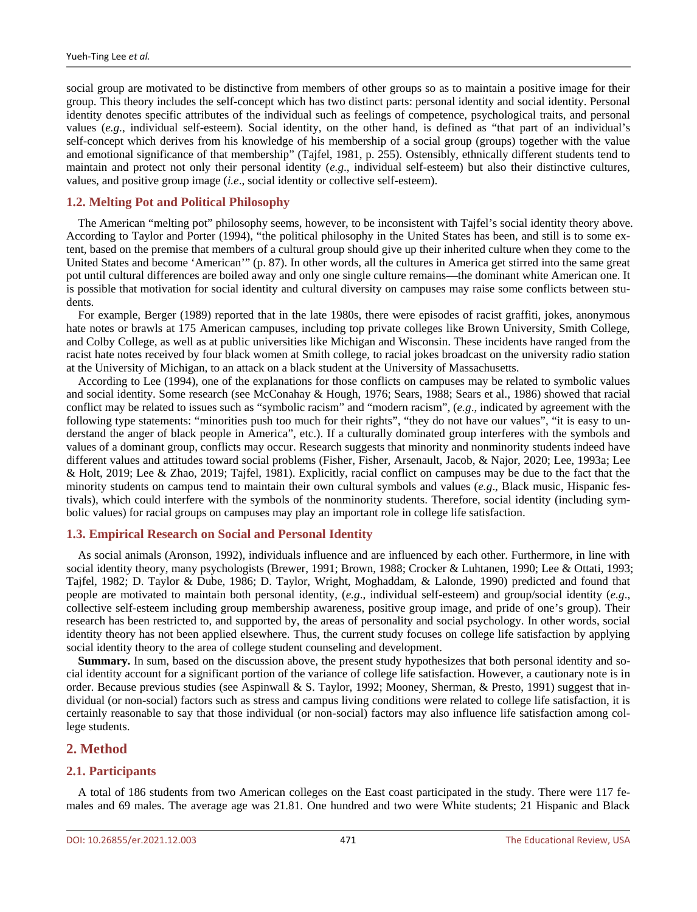social group are motivated to be distinctive from members of other groups so as to maintain a positive image for their group. This theory includes the self-concept which has two distinct parts: personal identity and social identity. Personal identity denotes specific attributes of the individual such as feelings of competence, psychological traits, and personal values (*e.g*., individual self-esteem). Social identity, on the other hand, is defined as "that part of an individual's self-concept which derives from his knowledge of his membership of a social group (groups) together with the value and emotional significance of that membership" (Tajfel, 1981, p. 255). Ostensibly, ethnically different students tend to maintain and protect not only their personal identity (*e.g*., individual self-esteem) but also their distinctive cultures, values, and positive group image (*i.e*., social identity or collective self-esteem).

# **1.2. Melting Pot and Political Philosophy**

The American "melting pot" philosophy seems, however, to be inconsistent with Tajfel's social identity theory above. According to Taylor and Porter (1994), "the political philosophy in the United States has been, and still is to some extent, based on the premise that members of a cultural group should give up their inherited culture when they come to the United States and become 'American'" (p. 87). In other words, all the cultures in America get stirred into the same great pot until cultural differences are boiled away and only one single culture remains—the dominant white American one. It is possible that motivation for social identity and cultural diversity on campuses may raise some conflicts between students.

For example, Berger (1989) reported that in the late 1980s, there were episodes of racist graffiti, jokes, anonymous hate notes or brawls at 175 American campuses, including top private colleges like Brown University, Smith College, and Colby College, as well as at public universities like Michigan and Wisconsin. These incidents have ranged from the racist hate notes received by four black women at Smith college, to racial jokes broadcast on the university radio station at the University of Michigan, to an attack on a black student at the University of Massachusetts.

According to Lee (1994), one of the explanations for those conflicts on campuses may be related to symbolic values and social identity. Some research (see McConahay & Hough, 1976; Sears, 1988; Sears et al., 1986) showed that racial conflict may be related to issues such as "symbolic racism" and "modern racism", (*e.g*., indicated by agreement with the following type statements: "minorities push too much for their rights", "they do not have our values", "it is easy to understand the anger of black people in America", etc.). If a culturally dominated group interferes with the symbols and values of a dominant group, conflicts may occur. Research suggests that minority and nonminority students indeed have different values and attitudes toward social problems (Fisher, Fisher, Arsenault, Jacob, & Najor, 2020; Lee, 1993a; Lee & Holt, 2019; Lee & Zhao, 2019; Tajfel, 1981). Explicitly, racial conflict on campuses may be due to the fact that the minority students on campus tend to maintain their own cultural symbols and values (*e.g*., Black music, Hispanic festivals), which could interfere with the symbols of the nonminority students. Therefore, social identity (including symbolic values) for racial groups on campuses may play an important role in college life satisfaction.

# **1.3. Empirical Research on Social and Personal Identity**

As social animals (Aronson, 1992), individuals influence and are influenced by each other. Furthermore, in line with social identity theory, many psychologists (Brewer, 1991; Brown, 1988; Crocker & Luhtanen, 1990; Lee & Ottati, 1993; Tajfel, 1982; D. Taylor & Dube, 1986; D. Taylor, Wright, Moghaddam, & Lalonde, 1990) predicted and found that people are motivated to maintain both personal identity, (*e.g*., individual self-esteem) and group/social identity (*e.g*., collective self-esteem including group membership awareness, positive group image, and pride of one's group). Their research has been restricted to, and supported by, the areas of personality and social psychology. In other words, social identity theory has not been applied elsewhere. Thus, the current study focuses on college life satisfaction by applying social identity theory to the area of college student counseling and development.

**Summary.** In sum, based on the discussion above, the present study hypothesizes that both personal identity and social identity account for a significant portion of the variance of college life satisfaction. However, a cautionary note is in order. Because previous studies (see Aspinwall & S. Taylor, 1992; Mooney, Sherman, & Presto, 1991) suggest that individual (or non-social) factors such as stress and campus living conditions were related to college life satisfaction, it is certainly reasonable to say that those individual (or non-social) factors may also influence life satisfaction among college students.

# **2. Method**

# **2.1. Participants**

A total of 186 students from two American colleges on the East coast participated in the study. There were 117 females and 69 males. The average age was 21.81. One hundred and two were White students; 21 Hispanic and Black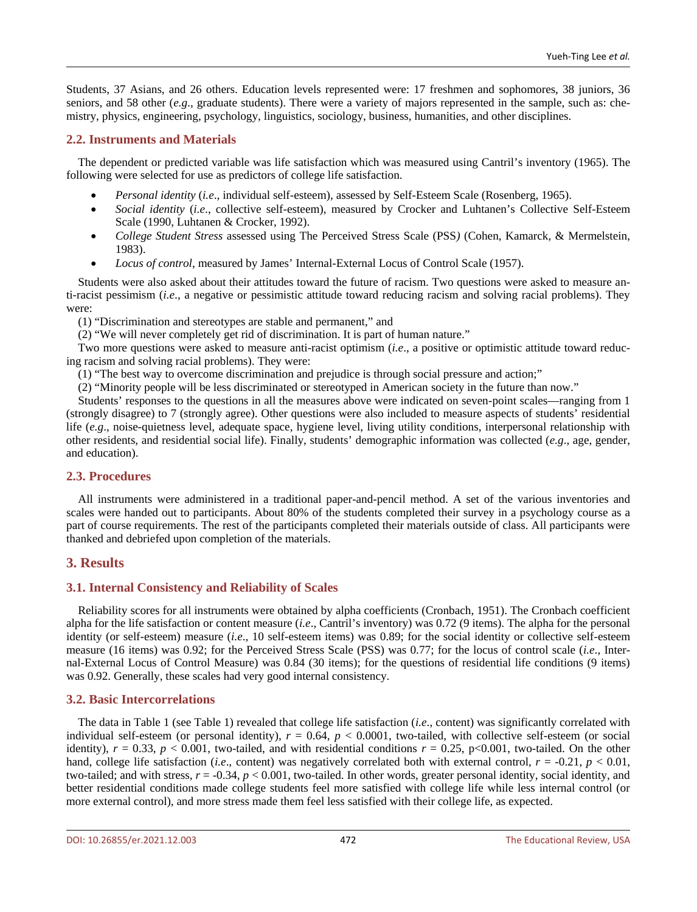Students, 37 Asians, and 26 others. Education levels represented were: 17 freshmen and sophomores, 38 juniors, 36 seniors, and 58 other (*e.g*., graduate students). There were a variety of majors represented in the sample, such as: chemistry, physics, engineering, psychology, linguistics, sociology, business, humanities, and other disciplines.

# **2.2. Instruments and Materials**

The dependent or predicted variable was life satisfaction which was measured using Cantril's inventory (1965). The following were selected for use as predictors of college life satisfaction.

- *Personal identity* (*i.e*., individual self-esteem), assessed by Self-Esteem Scale (Rosenberg, 1965).
- *Social identity* (*i.e*., collective self-esteem), measured by Crocker and Luhtanen's Collective Self-Esteem Scale (1990, Luhtanen & Crocker, 1992).
- *College Student Stress* assessed using The Perceived Stress Scale (PSS*)* (Cohen, Kamarck, & Mermelstein, 1983).
- *Locus of control*, measured by James' Internal-External Locus of Control Scale (1957).

Students were also asked about their attitudes toward the future of racism. Two questions were asked to measure anti-racist pessimism (*i.e*., a negative or pessimistic attitude toward reducing racism and solving racial problems). They were:

(1) "Discrimination and stereotypes are stable and permanent," and

(2) "We will never completely get rid of discrimination. It is part of human nature."

Two more questions were asked to measure anti-racist optimism (*i.e*., a positive or optimistic attitude toward reducing racism and solving racial problems). They were:

(1) "The best way to overcome discrimination and prejudice is through social pressure and action;"

(2) "Minority people will be less discriminated or stereotyped in American society in the future than now."

Students' responses to the questions in all the measures above were indicated on seven-point scales—ranging from 1 (strongly disagree) to 7 (strongly agree). Other questions were also included to measure aspects of students' residential life (*e.g*., noise-quietness level, adequate space, hygiene level, living utility conditions, interpersonal relationship with other residents, and residential social life). Finally, students' demographic information was collected (*e.g*., age, gender, and education).

# **2.3. Procedures**

All instruments were administered in a traditional paper-and-pencil method. A set of the various inventories and scales were handed out to participants. About 80% of the students completed their survey in a psychology course as a part of course requirements. The rest of the participants completed their materials outside of class. All participants were thanked and debriefed upon completion of the materials.

# **3. Results**

# **3.1. Internal Consistency and Reliability of Scales**

Reliability scores for all instruments were obtained by alpha coefficients (Cronbach, 1951). The Cronbach coefficient alpha for the life satisfaction or content measure (*i.e*., Cantril's inventory) was 0.72 (9 items). The alpha for the personal identity (or self-esteem) measure (*i.e*., 10 self-esteem items) was 0.89; for the social identity or collective self-esteem measure (16 items) was 0.92; for the Perceived Stress Scale (PSS) was 0.77; for the locus of control scale (*i.e*., Internal-External Locus of Control Measure) was 0.84 (30 items); for the questions of residential life conditions (9 items) was 0.92. Generally, these scales had very good internal consistency.

# **3.2. Basic Intercorrelations**

The data in Table 1 (see Table 1) revealed that college life satisfaction (*i.e*., content) was significantly correlated with individual self-esteem (or personal identity),  $r = 0.64$ ,  $p < 0.0001$ , two-tailed, with collective self-esteem (or social identity),  $r = 0.33$ ,  $p < 0.001$ , two-tailed, and with residential conditions  $r = 0.25$ , p<0.001, two-tailed. On the other hand, college life satisfaction (*i.e.*, content) was negatively correlated both with external control,  $r = -0.21$ ,  $p < 0.01$ , two-tailed; and with stress,  $r = -0.34$ ,  $p < 0.001$ , two-tailed. In other words, greater personal identity, social identity, and better residential conditions made college students feel more satisfied with college life while less internal control (or more external control), and more stress made them feel less satisfied with their college life, as expected.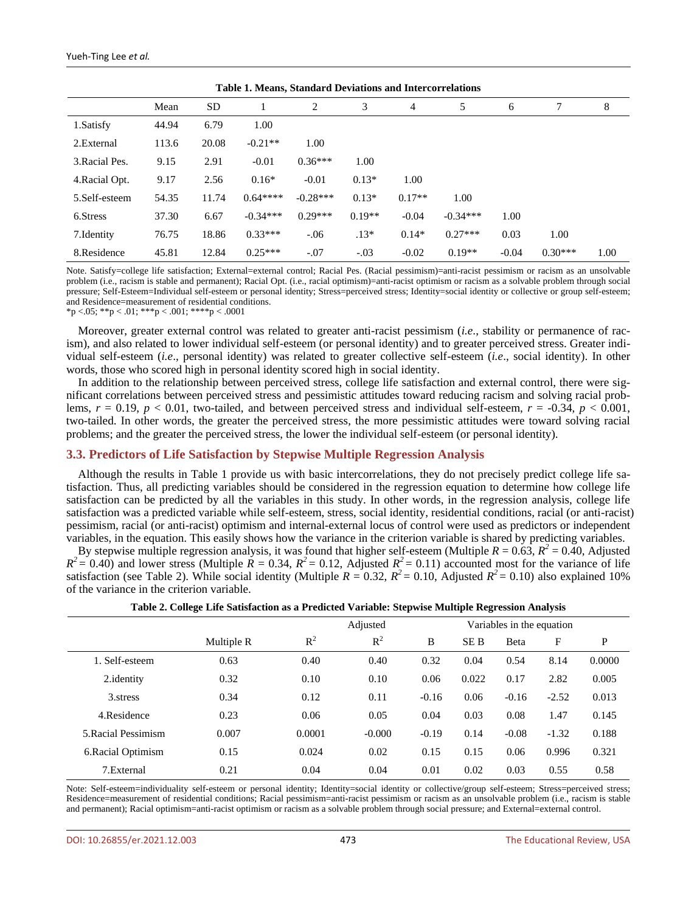| <b>Table 1. Means, Standard Deviations and Intercorrelations</b> |       |           |            |            |          |          |            |         |           |      |
|------------------------------------------------------------------|-------|-----------|------------|------------|----------|----------|------------|---------|-----------|------|
|                                                                  | Mean  | <b>SD</b> |            | 2          | 3        | 4        | 5          | 6       |           | 8    |
| 1.Satisfy                                                        | 44.94 | 6.79      | 1.00       |            |          |          |            |         |           |      |
| 2. External                                                      | 113.6 | 20.08     | $-0.21**$  | 1.00       |          |          |            |         |           |      |
| 3. Racial Pes.                                                   | 9.15  | 2.91      | $-0.01$    | $0.36***$  | 1.00     |          |            |         |           |      |
| 4. Racial Opt.                                                   | 9.17  | 2.56      | $0.16*$    | $-0.01$    | $0.13*$  | 1.00     |            |         |           |      |
| 5.Self-esteem                                                    | 54.35 | 11.74     | $0.64***$  | $-0.28***$ | $0.13*$  | $0.17**$ | 1.00       |         |           |      |
| 6.Stress                                                         | 37.30 | 6.67      | $-0.34***$ | $0.29***$  | $0.19**$ | $-0.04$  | $-0.34***$ | 1.00    |           |      |
| 7. Identity                                                      | 76.75 | 18.86     | $0.33***$  | $-.06$     | $.13*$   | $0.14*$  | $0.27***$  | 0.03    | 1.00      |      |
| 8.Residence                                                      | 45.81 | 12.84     | $0.25***$  | $-.07$     | $-.03$   | $-0.02$  | $0.19**$   | $-0.04$ | $0.30***$ | 1.00 |

Note. Satisfy=college life satisfaction; External=external control; Racial Pes. (Racial pessimism)=anti-racist pessimism or racism as an unsolvable problem (i.e., racism is stable and permanent); Racial Opt. (i.e., racial optimism)=anti-racist optimism or racism as a solvable problem through social pressure; Self-Esteem=Individual self-esteem or personal identity; Stress=perceived stress; Identity=social identity or collective or group self-esteem; and Residence=measurement of residential conditions.

\*p <.05; \*\*p < .01; \*\*\*p < .001; \*\*\*\*p < .0001

Moreover, greater external control was related to greater anti-racist pessimism (*i.e*., stability or permanence of racism), and also related to lower individual self-esteem (or personal identity) and to greater perceived stress. Greater individual self-esteem (*i.e*., personal identity) was related to greater collective self-esteem (*i.e*., social identity). In other words, those who scored high in personal identity scored high in social identity.

In addition to the relationship between perceived stress, college life satisfaction and external control, there were significant correlations between perceived stress and pessimistic attitudes toward reducing racism and solving racial problems,  $r = 0.19$ ,  $p < 0.01$ , two-tailed, and between perceived stress and individual self-esteem,  $r = -0.34$ ,  $p < 0.001$ , two-tailed. In other words, the greater the perceived stress, the more pessimistic attitudes were toward solving racial problems; and the greater the perceived stress, the lower the individual self-esteem (or personal identity).

#### **3.3. Predictors of Life Satisfaction by Stepwise Multiple Regression Analysis**

Although the results in Table 1 provide us with basic intercorrelations, they do not precisely predict college life satisfaction. Thus, all predicting variables should be considered in the regression equation to determine how college life satisfaction can be predicted by all the variables in this study. In other words, in the regression analysis, college life satisfaction was a predicted variable while self-esteem, stress, social identity, residential conditions, racial (or anti-racist) pessimism, racial (or anti-racist) optimism and internal-external locus of control were used as predictors or independent variables, in the equation. This easily shows how the variance in the criterion variable is shared by predicting variables.

By stepwise multiple regression analysis, it was found that higher self-esteem (Multiple  $R = 0.63$ ,  $R^2 = 0.40$ , Adjusted  $R^2 = 0.40$ ) and lower stress (Multiple  $R = 0.34$ ,  $R^2 = 0.12$ , Adjusted  $R^2 = 0.11$ ) accounted most for the variance of life satisfaction (see Table 2). While social identity (Multiple  $R = 0.32$ ,  $R^2 = 0.10$ , Adjusted  $R^2 = 0.10$ ) also explained 10% of the variance in the criterion variable.

|                     |            |        | Variables in the equation |         |       |         |         |        |
|---------------------|------------|--------|---------------------------|---------|-------|---------|---------|--------|
|                     | Multiple R | $R^2$  | $R^2$                     | B       | SE B  | Beta    | F       | P      |
| 1. Self-esteem      | 0.63       | 0.40   | 0.40                      | 0.32    | 0.04  | 0.54    | 8.14    | 0.0000 |
| 2.identity          | 0.32       | 0.10   | 0.10                      | 0.06    | 0.022 | 0.17    | 2.82    | 0.005  |
| 3. stress           | 0.34       | 0.12   | 0.11                      | $-0.16$ | 0.06  | $-0.16$ | $-2.52$ | 0.013  |
| 4. Residence        | 0.23       | 0.06   | 0.05                      | 0.04    | 0.03  | 0.08    | 1.47    | 0.145  |
| 5. Racial Pessimism | 0.007      | 0.0001 | $-0.000$                  | $-0.19$ | 0.14  | $-0.08$ | $-1.32$ | 0.188  |
| 6. Racial Optimism  | 0.15       | 0.024  | 0.02                      | 0.15    | 0.15  | 0.06    | 0.996   | 0.321  |
| 7. External         | 0.21       | 0.04   | 0.04                      | 0.01    | 0.02  | 0.03    | 0.55    | 0.58   |

# **Table 2. College Life Satisfaction as a Predicted Variable: Stepwise Multiple Regression Analysis**

Note: Self-esteem=individuality self-esteem or personal identity; Identity=social identity or collective/group self-esteem; Stress=perceived stress; Residence=measurement of residential conditions; Racial pessimism=anti-racist pessimism or racism as an unsolvable problem (i.e., racism is stable and permanent); Racial optimism=anti-racist optimism or racism as a solvable problem through social pressure; and External=external control.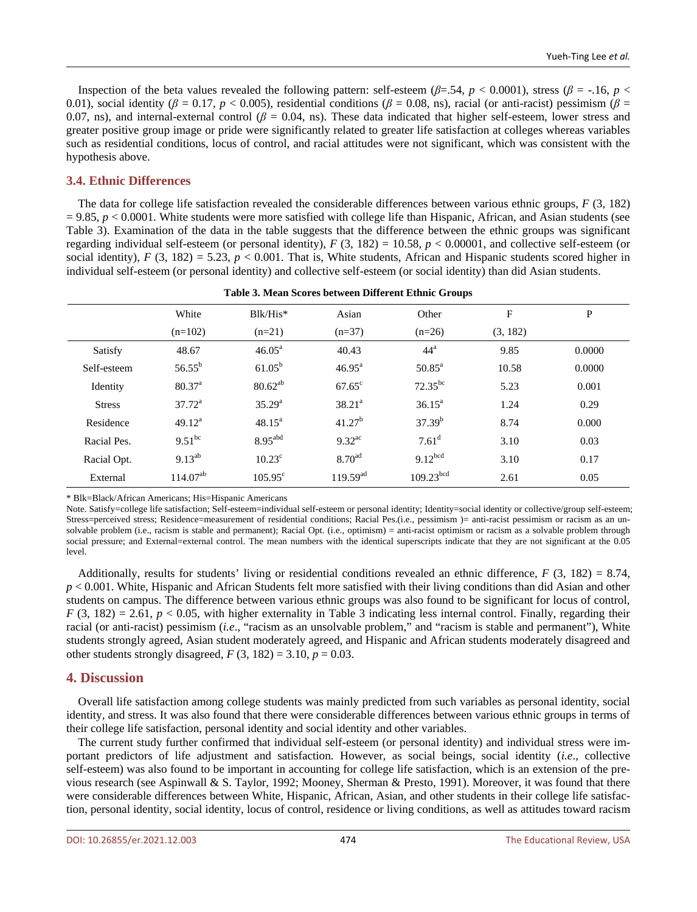Inspection of the beta values revealed the following pattern: self-esteem ( $\beta$ =.54,  $p$  < 0.0001), stress ( $\beta$  = -.16,  $p$  < 0.01), social identity ( $\beta = 0.17$ ,  $p < 0.005$ ), residential conditions ( $\beta = 0.08$ , ns), racial (or anti-racist) pessimism ( $\beta = 0.01$ ) 0.07, ns), and internal-external control ( $\beta$  = 0.04, ns). These data indicated that higher self-esteem, lower stress and greater positive group image or pride were significantly related to greater life satisfaction at colleges whereas variables such as residential conditions, locus of control, and racial attitudes were not significant, which was consistent with the hypothesis above.

# **3.4. Ethnic Differences**

The data for college life satisfaction revealed the considerable differences between various ethnic groups, *F* (3, 182)  $= 9.85$ ,  $p < 0.0001$ . White students were more satisfied with college life than Hispanic, African, and Asian students (see Table 3). Examination of the data in the table suggests that the difference between the ethnic groups was significant regarding individual self-esteem (or personal identity),  $F(3, 182) = 10.58$ ,  $p < 0.00001$ , and collective self-esteem (or social identity),  $F(3, 182) = 5.23$ ,  $p < 0.001$ . That is, White students, African and Hispanic students scored higher in individual self-esteem (or personal identity) and collective self-esteem (or social identity) than did Asian students.

|               | White              | $Blk/His*$            | Asian                | Other                 | $\mathbf{F}$ | P      |  |  |  |
|---------------|--------------------|-----------------------|----------------------|-----------------------|--------------|--------|--|--|--|
|               | $(n=102)$          | $(n=21)$              | $(n=37)$             | $(n=26)$              | (3, 182)     |        |  |  |  |
| Satisfy       | 48.67              | $46.05^{\text{a}}$    | 40.43                | $44^{\mathrm{a}}$     | 9.85         | 0.0000 |  |  |  |
| Self-esteem   | $56.55^{\rm b}$    | $61.05^{\rm b}$       | $46.95^{\text{a}}$   | $50.85^{\text{a}}$    | 10.58        | 0.0000 |  |  |  |
| Identity      | 80.37 <sup>a</sup> | $80.62^{ab}$          | $67.65^{\circ}$      | $72.35^{bc}$          | 5.23         | 0.001  |  |  |  |
| <b>Stress</b> | $37.72^a$          | 35.29 <sup>a</sup>    | $38.21^a$            | $36.15^a$             | 1.24         | 0.29   |  |  |  |
| Residence     | $49.12^a$          | $48.15^{\circ}$       | $41.27^b$            | $37.39^{b}$           | 8.74         | 0.000  |  |  |  |
| Racial Pes.   | $9.51^{bc}$        | $8.95$ <sup>abd</sup> | $9.32$ <sup>ac</sup> | $7.61$ <sup>d</sup>   | 3.10         | 0.03   |  |  |  |
| Racial Opt.   | $9.13^{ab}$        | $10.23^{\circ}$       | 8.70 <sup>ad</sup>   | $9.12^{bcd}$          | 3.10         | 0.17   |  |  |  |
| External      | $114.07^{ab}$      | $105.95^{\circ}$      | $119.59^{ad}$        | 109.23 <sup>bcd</sup> | 2.61         | 0.05   |  |  |  |

#### **Table 3. Mean Scores between Different Ethnic Groups**

\* Blk=Black/African Americans; His=Hispanic Americans

Note. Satisfy=college life satisfaction; Self-esteem=individual self-esteem or personal identity; Identity=social identity or collective/group self-esteem; Stress=perceived stress; Residence=measurement of residential conditions; Racial Pes.(i.e., pessimism )= anti-racist pessimism or racism as an unsolvable problem (i.e., racism is stable and permanent); Racial Opt. (i.e., optimism) = anti-racist optimism or racism as a solvable problem through social pressure; and External=external control. The mean numbers with the identical superscripts indicate that they are not significant at the 0.05 level.

Additionally, results for students' living or residential conditions revealed an ethnic difference, *F* (3, 182) = 8.74, *p* < 0.001. White, Hispanic and African Students felt more satisfied with their living conditions than did Asian and other students on campus. The difference between various ethnic groups was also found to be significant for locus of control,  $F(3, 182) = 2.61, p < 0.05$ , with higher externality in Table 3 indicating less internal control. Finally, regarding their racial (or anti-racist) pessimism (*i.e*., "racism as an unsolvable problem," and "racism is stable and permanent"), White students strongly agreed, Asian student moderately agreed, and Hispanic and African students moderately disagreed and other students strongly disagreed,  $F(3, 182) = 3.10, p = 0.03$ .

# **4. Discussion**

Overall life satisfaction among college students was mainly predicted from such variables as personal identity, social identity, and stress. It was also found that there were considerable differences between various ethnic groups in terms of their college life satisfaction, personal identity and social identity and other variables.

The current study further confirmed that individual self-esteem (or personal identity) and individual stress were important predictors of life adjustment and satisfaction. However, as social beings, social identity (*i.e*., collective self-esteem) was also found to be important in accounting for college life satisfaction, which is an extension of the previous research (see Aspinwall & S. Taylor, 1992; Mooney, Sherman & Presto, 1991). Moreover, it was found that there were considerable differences between White, Hispanic, African, Asian, and other students in their college life satisfaction, personal identity, social identity, locus of control, residence or living conditions, as well as attitudes toward racism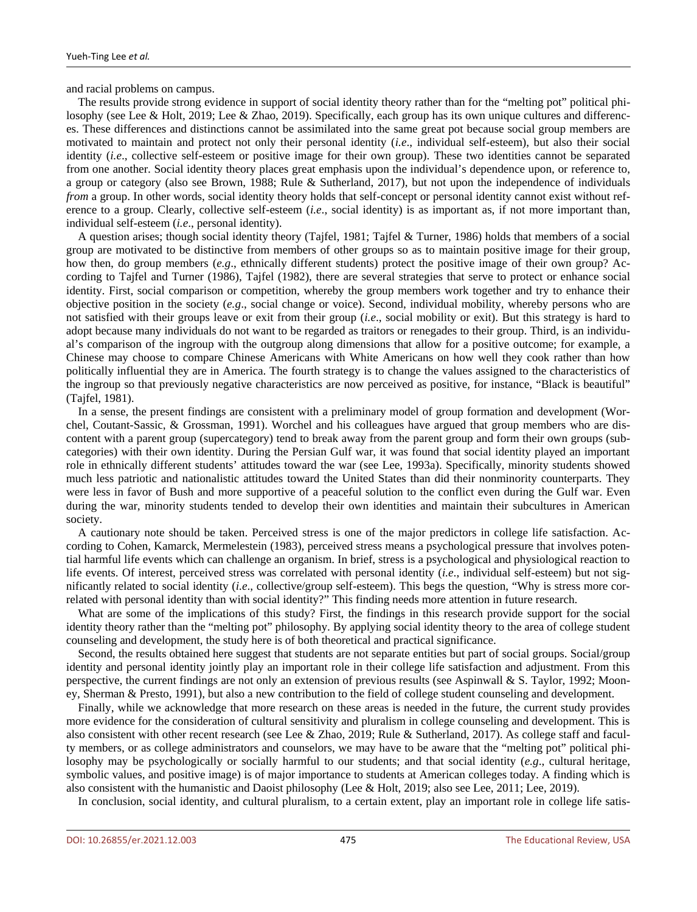and racial problems on campus.

The results provide strong evidence in support of social identity theory rather than for the "melting pot" political philosophy (see Lee & Holt, 2019; Lee & Zhao, 2019). Specifically, each group has its own unique cultures and differences. These differences and distinctions cannot be assimilated into the same great pot because social group members are motivated to maintain and protect not only their personal identity (*i.e*., individual self-esteem), but also their social identity (*i.e*., collective self-esteem or positive image for their own group). These two identities cannot be separated from one another. Social identity theory places great emphasis upon the individual's dependence upon, or reference to, a group or category (also see Brown, 1988; Rule & Sutherland, 2017), but not upon the independence of individuals *from* a group. In other words, social identity theory holds that self-concept or personal identity cannot exist without reference to a group. Clearly, collective self-esteem (*i.e*., social identity) is as important as, if not more important than, individual self-esteem (*i.e*., personal identity).

A question arises; though social identity theory (Tajfel, 1981; Tajfel & Turner, 1986) holds that members of a social group are motivated to be distinctive from members of other groups so as to maintain positive image for their group, how then, do group members (*e.g*., ethnically different students) protect the positive image of their own group? According to Tajfel and Turner (1986), Tajfel (1982), there are several strategies that serve to protect or enhance social identity. First, social comparison or competition, whereby the group members work together and try to enhance their objective position in the society (*e.g*., social change or voice). Second, individual mobility, whereby persons who are not satisfied with their groups leave or exit from their group (*i.e*., social mobility or exit). But this strategy is hard to adopt because many individuals do not want to be regarded as traitors or renegades to their group. Third, is an individual's comparison of the ingroup with the outgroup along dimensions that allow for a positive outcome; for example, a Chinese may choose to compare Chinese Americans with White Americans on how well they cook rather than how politically influential they are in America. The fourth strategy is to change the values assigned to the characteristics of the ingroup so that previously negative characteristics are now perceived as positive, for instance, "Black is beautiful" (Tajfel, 1981).

In a sense, the present findings are consistent with a preliminary model of group formation and development (Worchel, Coutant-Sassic, & Grossman, 1991). Worchel and his colleagues have argued that group members who are discontent with a parent group (supercategory) tend to break away from the parent group and form their own groups (subcategories) with their own identity. During the Persian Gulf war, it was found that social identity played an important role in ethnically different students' attitudes toward the war (see Lee, 1993a). Specifically, minority students showed much less patriotic and nationalistic attitudes toward the United States than did their nonminority counterparts. They were less in favor of Bush and more supportive of a peaceful solution to the conflict even during the Gulf war. Even during the war, minority students tended to develop their own identities and maintain their subcultures in American society.

A cautionary note should be taken. Perceived stress is one of the major predictors in college life satisfaction. According to Cohen, Kamarck, Mermelestein (1983), perceived stress means a psychological pressure that involves potential harmful life events which can challenge an organism. In brief, stress is a psychological and physiological reaction to life events. Of interest, perceived stress was correlated with personal identity (*i.e*., individual self-esteem) but not significantly related to social identity (*i.e*., collective/group self-esteem). This begs the question, "Why is stress more correlated with personal identity than with social identity?" This finding needs more attention in future research.

What are some of the implications of this study? First, the findings in this research provide support for the social identity theory rather than the "melting pot" philosophy. By applying social identity theory to the area of college student counseling and development, the study here is of both theoretical and practical significance.

Second, the results obtained here suggest that students are not separate entities but part of social groups. Social/group identity and personal identity jointly play an important role in their college life satisfaction and adjustment. From this perspective, the current findings are not only an extension of previous results (see Aspinwall & S. Taylor, 1992; Mooney, Sherman & Presto, 1991), but also a new contribution to the field of college student counseling and development.

Finally, while we acknowledge that more research on these areas is needed in the future, the current study provides more evidence for the consideration of cultural sensitivity and pluralism in college counseling and development. This is also consistent with other recent research (see Lee & Zhao, 2019; Rule & Sutherland, 2017). As college staff and faculty members, or as college administrators and counselors, we may have to be aware that the "melting pot" political philosophy may be psychologically or socially harmful to our students; and that social identity (*e.g*., cultural heritage, symbolic values, and positive image) is of major importance to students at American colleges today. A finding which is also consistent with the humanistic and Daoist philosophy (Lee & Holt, 2019; also see Lee, 2011; Lee, 2019).

In conclusion, social identity, and cultural pluralism, to a certain extent, play an important role in college life satis-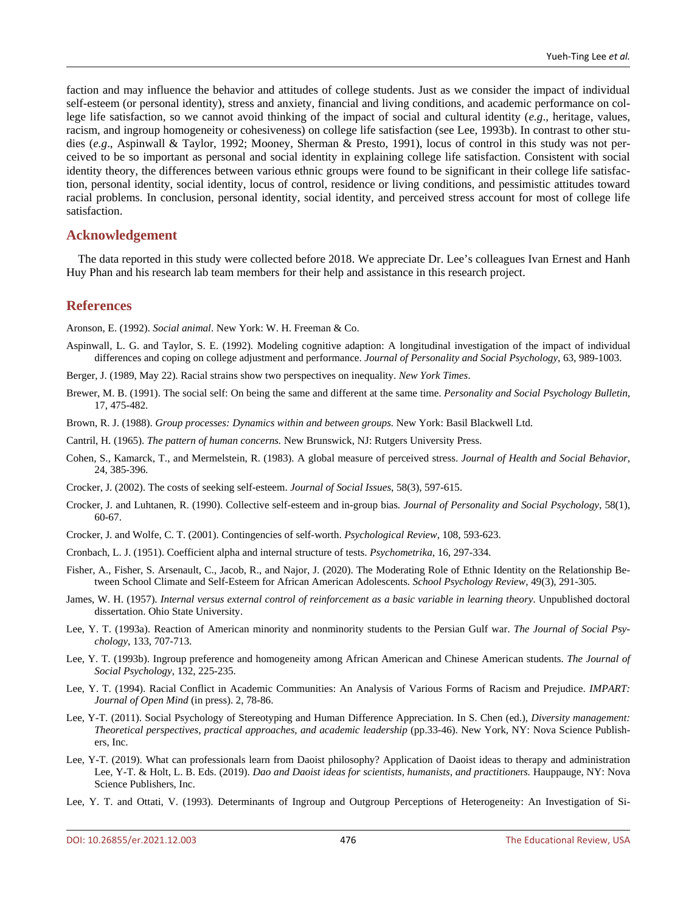faction and may influence the behavior and attitudes of college students. Just as we consider the impact of individual self-esteem (or personal identity), stress and anxiety, financial and living conditions, and academic performance on college life satisfaction, so we cannot avoid thinking of the impact of social and cultural identity (*e.g*., heritage, values, racism, and ingroup homogeneity or cohesiveness) on college life satisfaction (see Lee, 1993b). In contrast to other studies (*e.g*., Aspinwall & Taylor, 1992; Mooney, Sherman & Presto, 1991), locus of control in this study was not perceived to be so important as personal and social identity in explaining college life satisfaction. Consistent with social identity theory, the differences between various ethnic groups were found to be significant in their college life satisfaction, personal identity, social identity, locus of control, residence or living conditions, and pessimistic attitudes toward racial problems. In conclusion, personal identity, social identity, and perceived stress account for most of college life satisfaction.

## **Acknowledgement**

The data reported in this study were collected before 2018. We appreciate Dr. Lee's colleagues Ivan Ernest and Hanh Huy Phan and his research lab team members for their help and assistance in this research project.

### **References**

Aronson, E. (1992). *Social animal*. New York: W. H. Freeman & Co.

- Aspinwall, L. G. and Taylor, S. E. (1992). Modeling cognitive adaption: A longitudinal investigation of the impact of individual differences and coping on college adjustment and performance. *Journal of Personality and Social Psychology*, 63, 989-1003.
- Berger, J. (1989, May 22). Racial strains show two perspectives on inequality. *New York Times*.
- Brewer, M. B. (1991). The social self: On being the same and different at the same time. *Personality and Social Psychology Bulletin*, 17, 475-482.
- Brown, R. J. (1988). *Group processes: Dynamics within and between groups.* New York: Basil Blackwell Ltd.
- Cantril, H. (1965). *The pattern of human concerns.* New Brunswick, NJ: Rutgers University Press.
- Cohen, S., Kamarck, T., and Mermelstein, R. (1983). A global measure of perceived stress. *Journal of Health and Social Behavior*, 24, 385-396.
- Crocker, J. (2002). The costs of seeking self-esteem. *Journal of Social Issues*, 58(3), 597-615.
- Crocker, J. and Luhtanen, R. (1990). Collective self-esteem and in-group bias*. Journal of Personality and Social Psychology*, 58(1), 60-67.
- Crocker, J. and Wolfe, C. T. (2001). Contingencies of self-worth. *Psychological Review*, 108, 593-623.
- Cronbach, L. J. (1951). Coefficient alpha and internal structure of tests. *Psychometrika*, 16, 297-334.
- Fisher, A., Fisher, S. Arsenault, C., Jacob, R., and Najor, J. (2020). The Moderating Role of Ethnic Identity on the Relationship Between School Climate and Self-Esteem for African American Adolescents. *School Psychology Review*, 49(3), 291-305.
- James, W. H. (1957). *Internal versus external control of reinforcement as a basic variable in learning theory*. Unpublished doctoral dissertation. Ohio State University.
- Lee, Y. T. (1993a). Reaction of American minority and nonminority students to the Persian Gulf war. *The Journal of Social Psychology*, 133, 707-713.
- Lee, Y. T. (1993b). Ingroup preference and homogeneity among African American and Chinese American students. *The Journal of Social Psychology*, 132, 225-235.
- Lee, Y. T. (1994). Racial Conflict in Academic Communities: An Analysis of Various Forms of Racism and Prejudice. *IMPART: Journal of Open Mind* (in press). 2, 78-86.
- Lee, Y-T. (2011). Social Psychology of Stereotyping and Human Difference Appreciation. In S. Chen (ed.), *Diversity management: Theoretical perspectives, practical approaches, and academic leadership* (pp.33-46). New York, NY: Nova Science Publishers, Inc.
- Lee, Y-T. (2019). What can professionals learn from Daoist philosophy? Application of Daoist ideas to therapy and administration Lee, Y-T. & Holt, L. B. Eds. (2019). *Dao and Daoist ideas for scientists, humanists, and practitione*r*s.* Hauppauge, NY: Nova Science Publishers, Inc.
- Lee, Y. T. and Ottati, V. (1993). Determinants of Ingroup and Outgroup Perceptions of Heterogeneity: An Investigation of Si-